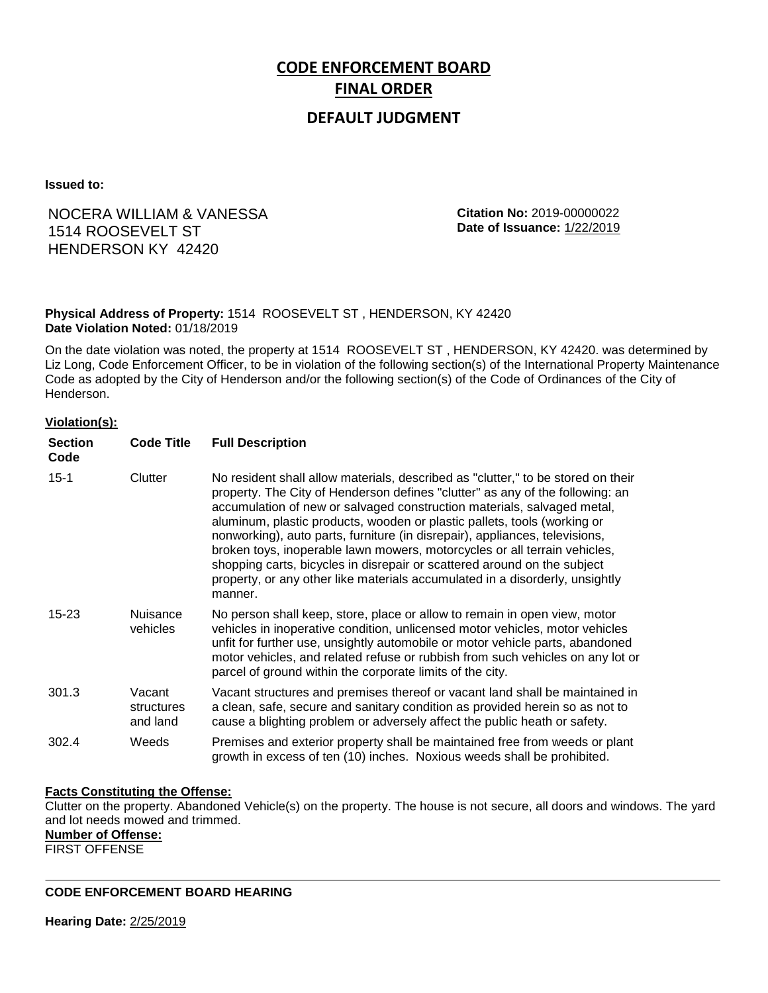# **CODE ENFORCEMENT BOARD FINAL ORDER**

## **DEFAULT JUDGMENT**

**Issued to:**

## NOCERA WILLIAM & VANESSA 1514 ROOSEVELT ST HENDERSON KY 42420

**Citation No:** 2019-00000022 **Date of Issuance:** 1/22/2019

### **Physical Address of Property:** 1514 ROOSEVELT ST , HENDERSON, KY 42420 **Date Violation Noted:** 01/18/2019

On the date violation was noted, the property at 1514 ROOSEVELT ST , HENDERSON, KY 42420. was determined by Liz Long, Code Enforcement Officer, to be in violation of the following section(s) of the International Property Maintenance Code as adopted by the City of Henderson and/or the following section(s) of the Code of Ordinances of the City of Henderson.

#### **Violation(s):**

| <b>Section</b><br>Code | <b>Code Title</b>                | <b>Full Description</b>                                                                                                                                                                                                                                                                                                                                                                                                                                                                                                                                                                                                                                     |
|------------------------|----------------------------------|-------------------------------------------------------------------------------------------------------------------------------------------------------------------------------------------------------------------------------------------------------------------------------------------------------------------------------------------------------------------------------------------------------------------------------------------------------------------------------------------------------------------------------------------------------------------------------------------------------------------------------------------------------------|
| $15 - 1$               | Clutter                          | No resident shall allow materials, described as "clutter," to be stored on their<br>property. The City of Henderson defines "clutter" as any of the following: an<br>accumulation of new or salvaged construction materials, salvaged metal,<br>aluminum, plastic products, wooden or plastic pallets, tools (working or<br>nonworking), auto parts, furniture (in disrepair), appliances, televisions,<br>broken toys, inoperable lawn mowers, motorcycles or all terrain vehicles,<br>shopping carts, bicycles in disrepair or scattered around on the subject<br>property, or any other like materials accumulated in a disorderly, unsightly<br>manner. |
| $15 - 23$              | <b>Nuisance</b><br>vehicles      | No person shall keep, store, place or allow to remain in open view, motor<br>vehicles in inoperative condition, unlicensed motor vehicles, motor vehicles<br>unfit for further use, unsightly automobile or motor vehicle parts, abandoned<br>motor vehicles, and related refuse or rubbish from such vehicles on any lot or<br>parcel of ground within the corporate limits of the city.                                                                                                                                                                                                                                                                   |
| 301.3                  | Vacant<br>structures<br>and land | Vacant structures and premises thereof or vacant land shall be maintained in<br>a clean, safe, secure and sanitary condition as provided herein so as not to<br>cause a blighting problem or adversely affect the public heath or safety.                                                                                                                                                                                                                                                                                                                                                                                                                   |
| 302.4                  | Weeds                            | Premises and exterior property shall be maintained free from weeds or plant<br>growth in excess of ten (10) inches. Noxious weeds shall be prohibited.                                                                                                                                                                                                                                                                                                                                                                                                                                                                                                      |

#### **Facts Constituting the Offense:**

Clutter on the property. Abandoned Vehicle(s) on the property. The house is not secure, all doors and windows. The yard and lot needs mowed and trimmed.

#### **Number of Offense:**

FIRST OFFENSE

**CODE ENFORCEMENT BOARD HEARING**

**Hearing Date:** 2/25/2019